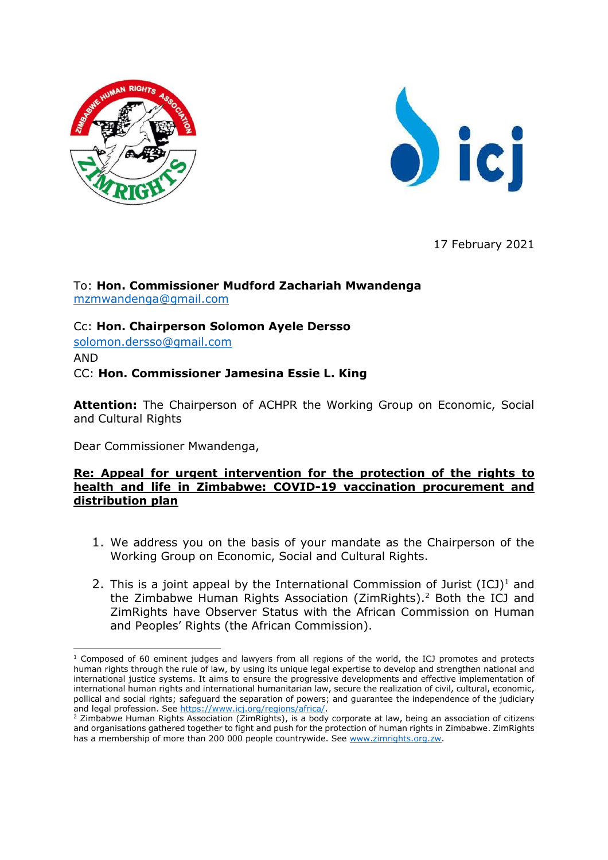



17 February 2021

### To: **Hon. Commissioner Mudford Zachariah Mwandenga** [mzmwandenga@gmail.com](mailto:mzmwandenga@gmail.com)

Cc: **Hon. Chairperson Solomon Ayele Dersso** [solomon.dersso@gmail.com](mailto:solomon.dersso@gmail.com) AND

CC: **Hon. Commissioner Jamesina Essie L. King**

**Attention:** The Chairperson of ACHPR the Working Group on Economic, Social and Cultural Rights

Dear Commissioner Mwandenga,

#### **Re: Appeal for urgent intervention for the protection of the rights to health and life in Zimbabwe: COVID-19 vaccination procurement and distribution plan**

- 1. We address you on the basis of your mandate as the Chairperson of the Working Group on Economic, Social and Cultural Rights.
- 2. This is a joint appeal by the International Commission of Jurist  $(ICJ)^1$  and the Zimbabwe Human Rights Association (ZimRights).<sup>2</sup> Both the ICJ and ZimRights have Observer Status with the African Commission on Human and Peoples' Rights (the African Commission).

 $1$  Composed of 60 eminent judges and lawyers from all regions of the world, the ICJ promotes and protects human rights through the rule of law, by using its unique legal expertise to develop and strengthen national and international justice systems. It aims to ensure the progressive developments and effective implementation of international human rights and international humanitarian law, secure the realization of civil, cultural, economic, pollical and social rights; safeguard the separation of powers; and guarantee the independence of the judiciary and legal profession. See [https://www.icj.org/regions/africa/.](https://www.icj.org/regions/africa/)

<sup>&</sup>lt;sup>2</sup> Zimbabwe Human Rights Association (ZimRights), is a body corporate at law, being an association of citizens and organisations gathered together to fight and push for the protection of human rights in Zimbabwe. ZimRights has a membership of more than 200 000 people countrywide. See [www.zimrights.org.zw.](http://www.zimrights.org.zw/)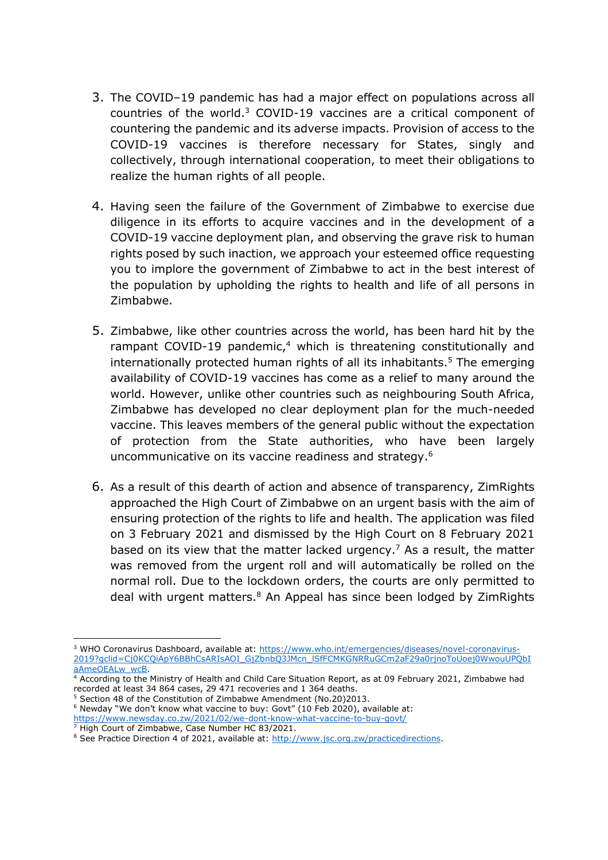- 3. The COVID–19 pandemic has had a major effect on populations across all countries of the world. <sup>3</sup> COVID-19 vaccines are a critical component of countering the pandemic and its adverse impacts. Provision of access to the COVID-19 vaccines is therefore necessary for States, singly and collectively, through international cooperation, to meet their obligations to realize the human rights of all people.
- 4. Having seen the failure of the Government of Zimbabwe to exercise due diligence in its efforts to acquire vaccines and in the development of a COVID-19 vaccine deployment plan, and observing the grave risk to human rights posed by such inaction, we approach your esteemed office requesting you to implore the government of Zimbabwe to act in the best interest of the population by upholding the rights to health and life of all persons in Zimbabwe.
- 5. Zimbabwe, like other countries across the world, has been hard hit by the rampant COVID-19 pandemic, <sup>4</sup> which is threatening constitutionally and internationally protected human rights of all its inhabitants. <sup>5</sup> The emerging availability of COVID-19 vaccines has come as a relief to many around the world. However, unlike other countries such as neighbouring South Africa, Zimbabwe has developed no clear deployment plan for the much-needed vaccine. This leaves members of the general public without the expectation of protection from the State authorities, who have been largely uncommunicative on its vaccine readiness and strategy. 6
- 6. As a result of this dearth of action and absence of transparency, ZimRights approached the High Court of Zimbabwe on an urgent basis with the aim of ensuring protection of the rights to life and health. The application was filed on 3 February 2021 and dismissed by the High Court on 8 February 2021 based on its view that the matter lacked urgency.<sup>7</sup> As a result, the matter was removed from the urgent roll and will automatically be rolled on the normal roll. Due to the lockdown orders, the courts are only permitted to deal with urgent matters.<sup>8</sup> An Appeal has since been lodged by ZimRights

<sup>&</sup>lt;sup>3</sup> WHO Coronavirus Dashboard, available at[: https://www.who.int/emergencies/diseases/novel-coronavirus-](https://www.who.int/emergencies/diseases/novel-coronavirus-2019?gclid=Cj0KCQiApY6BBhCsARIsAOI_GjZbnbQ3JMcn_lSfFCMKGNRRuGCm2aF29a0rjnoToUoej0WwouUPQbIaAmeOEALw_wcB)[2019?gclid=Cj0KCQiApY6BBhCsARIsAOI\\_GjZbnbQ3JMcn\\_lSfFCMKGNRRuGCm2aF29a0rjnoToUoej0WwouUPQbI](https://www.who.int/emergencies/diseases/novel-coronavirus-2019?gclid=Cj0KCQiApY6BBhCsARIsAOI_GjZbnbQ3JMcn_lSfFCMKGNRRuGCm2aF29a0rjnoToUoej0WwouUPQbIaAmeOEALw_wcB) [aAmeOEALw\\_wcB.](https://www.who.int/emergencies/diseases/novel-coronavirus-2019?gclid=Cj0KCQiApY6BBhCsARIsAOI_GjZbnbQ3JMcn_lSfFCMKGNRRuGCm2aF29a0rjnoToUoej0WwouUPQbIaAmeOEALw_wcB)

<sup>4</sup> According to the Ministry of Health and Child Care Situation Report, as at 09 February 2021, Zimbabwe had recorded at least 34 864 cases, 29 471 recoveries and 1 364 deaths.

<sup>5</sup> Section 48 of the Constitution of Zimbabwe Amendment (No.20)2013.

<sup>&</sup>lt;sup>6</sup> Newday "We don't know what vaccine to buy: Govt" (10 Feb 2020), available at: <https://www.newsday.co.zw/2021/02/we-dont-know-what-vaccine-to-buy-govt/>

<sup>&</sup>lt;sup>7</sup> High Court of Zimbabwe, Case Number HC 83/2021.

<sup>&</sup>lt;sup>8</sup> See Practice Direction 4 of 2021, available at: [http://www.jsc.org.zw/practicedirections.](http://www.jsc.org.zw/practicedirections)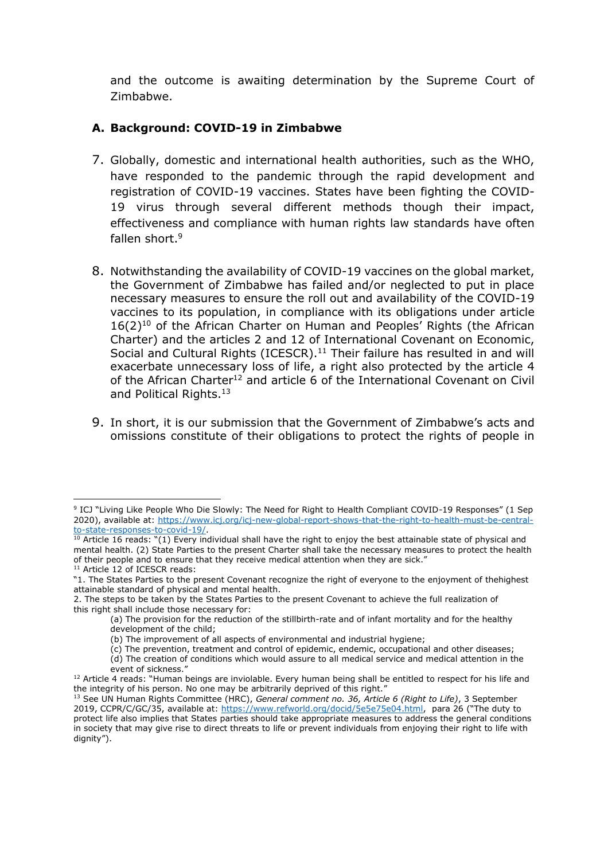and the outcome is awaiting determination by the Supreme Court of Zimbabwe.

## **A. Background: COVID-19 in Zimbabwe**

- 7. Globally, domestic and international health authorities, such as the WHO, have responded to the pandemic through the rapid development and registration of COVID-19 vaccines. States have been fighting the COVID-19 virus through several different methods though their impact, effectiveness and compliance with human rights law standards have often fallen short. 9
- 8. Notwithstanding the availability of COVID-19 vaccines on the global market, the Government of Zimbabwe has failed and/or neglected to put in place necessary measures to ensure the roll out and availability of the COVID-19 vaccines to its population, in compliance with its obligations under article  $16(2)^{10}$  of the African Charter on Human and Peoples' Rights (the African Charter) and the articles 2 and 12 of International Covenant on Economic, Social and Cultural Rights (ICESCR).<sup>11</sup> Their failure has resulted in and will exacerbate unnecessary loss of life, a right also protected by the article 4 of the African Charter<sup>12</sup> and article 6 of the International Covenant on Civil and Political Rights.<sup>13</sup>
- 9. In short, it is our submission that the Government of Zimbabwe's acts and omissions constitute of their obligations to protect the rights of people in

<sup>&</sup>lt;sup>9</sup> ICJ "Living Like People Who Die Slowly: The Need for Right to Health Compliant COVID-19 Responses" (1 Sep 2020), available at: [https://www.icj.org/icj-new-global-report-shows-that-the-right-to-health-must-be-central](https://www.icj.org/icj-new-global-report-shows-that-the-right-to-health-must-be-central-to-state-responses-to-covid-19/)[to-state-responses-to-covid-19/.](https://www.icj.org/icj-new-global-report-shows-that-the-right-to-health-must-be-central-to-state-responses-to-covid-19/)

 $10$  Article 16 reads: "(1) Every individual shall have the right to enjoy the best attainable state of physical and mental health. (2) State Parties to the present Charter shall take the necessary measures to protect the health of their people and to ensure that they receive medical attention when they are sick." <sup>11</sup> Article 12 of ICESCR reads:

<sup>&</sup>quot;1. The States Parties to the present Covenant recognize the right of everyone to the enjoyment of thehighest attainable standard of physical and mental health.

<sup>2.</sup> The steps to be taken by the States Parties to the present Covenant to achieve the full realization of this right shall include those necessary for:

<sup>(</sup>a) The provision for the reduction of the stillbirth-rate and of infant mortality and for the healthy development of the child;

<sup>(</sup>b) The improvement of all aspects of environmental and industrial hygiene;

<sup>(</sup>c) The prevention, treatment and control of epidemic, endemic, occupational and other diseases;

<sup>(</sup>d) The creation of conditions which would assure to all medical service and medical attention in the event of sickness."

<sup>&</sup>lt;sup>12</sup> Article 4 reads: "Human beings are inviolable. Every human being shall be entitled to respect for his life and the integrity of his person. No one may be arbitrarily deprived of this right."

<sup>13</sup> See UN Human Rights Committee (HRC), *General comment no. 36, Article 6 (Right to Life)*, 3 September 2019, CCPR/C/GC/35, available at: [https://www.refworld.org/docid/5e5e75e04.html,](https://www.refworld.org/docid/5e5e75e04.html) para 26 ("The duty to protect life also implies that States parties should take appropriate measures to address the general conditions in society that may give rise to direct threats to life or prevent individuals from enjoying their right to life with dignity").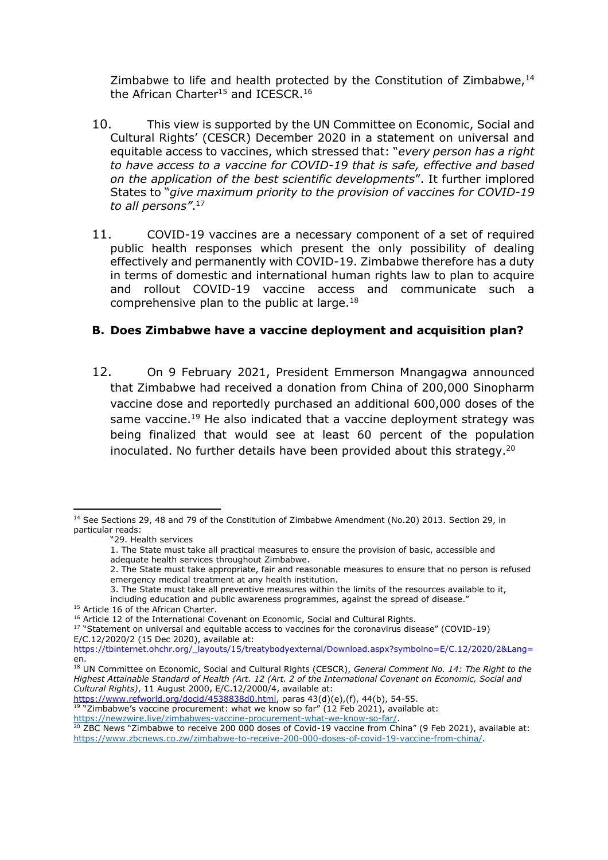Zimbabwe to life and health protected by the Constitution of Zimbabwe, $14$ the African Charter<sup>15</sup> and ICESCR.<sup>16</sup>

- 10. This view is supported by the UN Committee on Economic, Social and Cultural Rights' (CESCR) December 2020 in a statement on universal and equitable access to vaccines, which stressed that: "*every person has a right to have access to a vaccine for COVID-19 that is safe, effective and based on the application of the best scientific developments*". It further implored States to "*give maximum priority to the provision of vaccines for COVID-19 to all persons"*. 17
- 11. COVID-19 vaccines are a necessary component of a set of required public health responses which present the only possibility of dealing effectively and permanently with COVID-19. Zimbabwe therefore has a duty in terms of domestic and international human rights law to plan to acquire and rollout COVID-19 vaccine access and communicate such a comprehensive plan to the public at large.<sup>18</sup>

### **B. Does Zimbabwe have a vaccine deployment and acquisition plan?**

12. On 9 February 2021, President Emmerson Mnangagwa announced that Zimbabwe had received a donation from China of 200,000 Sinopharm vaccine dose and reportedly purchased an additional 600,000 doses of the same vaccine.<sup>19</sup> He also indicated that a vaccine deployment strategy was being finalized that would see at least 60 percent of the population inoculated. No further details have been provided about this strategy.<sup>20</sup>

[https://www.refworld.org/docid/4538838d0.html,](https://www.refworld.org/docid/4538838d0.html) paras 43(d)(e),(f), 44(b), 54-55.

 $19$  "Zimbabwe's vaccine procurement: what we know so far" (12 Feb 2021), available at: [https://newzwire.live/zimbabwes-vaccine-procurement-what-we-know-so-far/.](https://newzwire.live/zimbabwes-vaccine-procurement-what-we-know-so-far/)

<sup>&</sup>lt;sup>14</sup> See Sections 29, 48 and 79 of the Constitution of Zimbabwe Amendment (No.20) 2013. Section 29, in particular reads:

<sup>&</sup>quot;29. Health services

<sup>1.</sup> The State must take all practical measures to ensure the provision of basic, accessible and adequate health services throughout Zimbabwe.

<sup>2.</sup> The State must take appropriate, fair and reasonable measures to ensure that no person is refused emergency medical treatment at any health institution.

<sup>3.</sup> The State must take all preventive measures within the limits of the resources available to it,

including education and public awareness programmes, against the spread of disease."

<sup>&</sup>lt;sup>15</sup> Article 16 of the African Charter.

<sup>&</sup>lt;sup>16</sup> Article 12 of the International Covenant on Economic, Social and Cultural Rights.

<sup>&</sup>lt;sup>17</sup> "Statement on universal and equitable access to vaccines for the coronavirus disease" (COVID-19) E/C.12/2020/2 (15 Dec 2020), available at:

https://tbinternet.ohchr.org/\_layouts/15/treatybodyexternal/Download.aspx?symbolno=E/C.12/2020/2&Lang= en.

<sup>18</sup> UN Committee on Economic, Social and Cultural Rights (CESCR), *General Comment No. 14: The Right to the Highest Attainable Standard of Health (Art. 12 (Art. 2 of the International Covenant on Economic, Social and Cultural Rights)*, 11 August 2000, E/C.12/2000/4, available at:

<sup>&</sup>lt;sup>20</sup> ZBC News "Zimbabwe to receive 200 000 doses of Covid-19 vaccine from China" (9 Feb 2021), available at: [https://www.zbcnews.co.zw/zimbabwe-to-receive-200-000-doses-of-covid-19-vaccine-from-china/.](https://www.zbcnews.co.zw/zimbabwe-to-receive-200-000-doses-of-covid-19-vaccine-from-china/)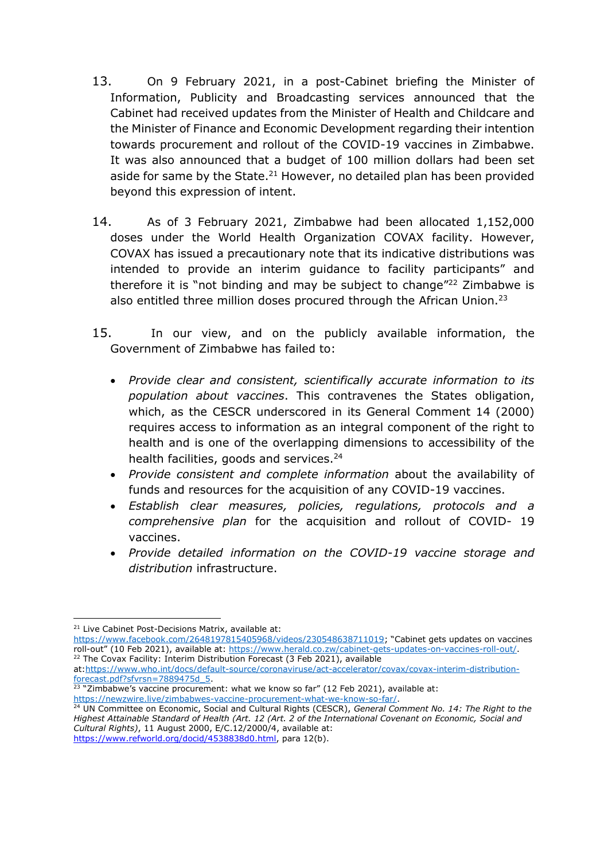- 13. On 9 February 2021, in a post-Cabinet briefing the Minister of Information, Publicity and Broadcasting services announced that the Cabinet had received updates from the Minister of Health and Childcare and the Minister of Finance and Economic Development regarding their intention towards procurement and rollout of the COVID-19 vaccines in Zimbabwe. It was also announced that a budget of 100 million dollars had been set aside for same by the State.<sup>21</sup> However, no detailed plan has been provided beyond this expression of intent.
- 14. As of 3 February 2021, Zimbabwe had been allocated 1,152,000 doses under the World Health Organization COVAX facility. However, COVAX has issued a precautionary note that its indicative distributions was intended to provide an interim guidance to facility participants" and therefore it is "not binding and may be subject to change"<sup>22</sup> Zimbabwe is also entitled three million doses procured through the African Union. $^{23}$
- 15. In our view, and on the publicly available information, the Government of Zimbabwe has failed to:
	- *Provide clear and consistent, scientifically accurate information to its population about vaccines*. This contravenes the States obligation, which, as the CESCR underscored in its General Comment 14 (2000) requires access to information as an integral component of the right to health and is one of the overlapping dimensions to accessibility of the health facilities, goods and services.<sup>24</sup>
	- *Provide consistent and complete information* about the availability of funds and resources for the acquisition of any COVID-19 vaccines.
	- *Establish clear measures, policies, regulations, protocols and a comprehensive plan* for the acquisition and rollout of COVID- 19 vaccines.
	- *Provide detailed information on the COVID-19 vaccine storage and distribution* infrastructure.

at[:https://www.who.int/docs/default-source/coronaviruse/act-accelerator/covax/covax-interim-distribution](https://www.who.int/docs/default-source/coronaviruse/act-accelerator/covax/covax-interim-distribution-forecast.pdf?sfvrsn=7889475d_5)[forecast.pdf?sfvrsn=7889475d\\_5.](https://www.who.int/docs/default-source/coronaviruse/act-accelerator/covax/covax-interim-distribution-forecast.pdf?sfvrsn=7889475d_5)

 $23$  "Zimbabwe's vaccine procurement: what we know so far" (12 Feb 2021), available at: [https://newzwire.live/zimbabwes-vaccine-procurement-what-we-know-so-far/.](https://newzwire.live/zimbabwes-vaccine-procurement-what-we-know-so-far/)

<sup>&</sup>lt;sup>21</sup> Live Cabinet Post-Decisions Matrix, available at:

<https://www.facebook.com/2648197815405968/videos/230548638711019>; "Cabinet gets updates on vaccines roll-out" (10 Feb 2021), available at: [https://www.herald.co.zw/cabinet-gets-updates-on-vaccines-roll-out/.](https://www.herald.co.zw/cabinet-gets-updates-on-vaccines-roll-out/) <sup>22</sup> The Covax Facility: Interim Distribution Forecast (3 Feb 2021), available

<sup>24</sup> UN Committee on Economic, Social and Cultural Rights (CESCR), *General Comment No. 14: The Right to the Highest Attainable Standard of Health (Art. 12 (Art. 2 of the International Covenant on Economic, Social and Cultural Rights)*, 11 August 2000, E/C.12/2000/4, available at: [https://www.refworld.org/docid/4538838d0.html,](https://www.refworld.org/docid/4538838d0.html) para 12(b).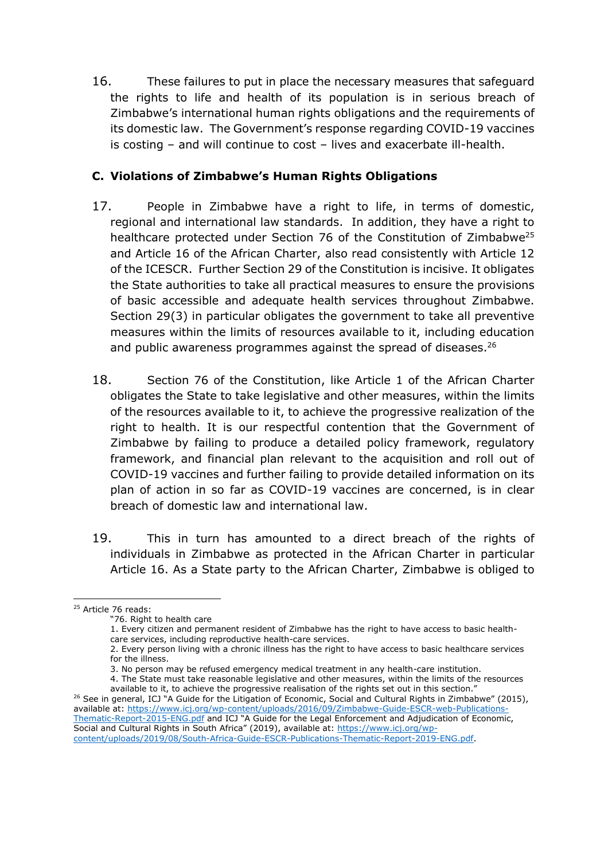16. These failures to put in place the necessary measures that safeguard the rights to life and health of its population is in serious breach of Zimbabwe's international human rights obligations and the requirements of its domestic law. The Government's response regarding COVID-19 vaccines is costing – and will continue to cost – lives and exacerbate ill-health.

# **C. Violations of Zimbabwe's Human Rights Obligations**

- 17. People in Zimbabwe have a right to life, in terms of domestic, regional and international law standards. In addition, they have a right to healthcare protected under Section 76 of the Constitution of Zimbabwe<sup>25</sup> and Article 16 of the African Charter, also read consistently with Article 12 of the ICESCR. Further Section 29 of the Constitution is incisive. It obligates the State authorities to take all practical measures to ensure the provisions of basic accessible and adequate health services throughout Zimbabwe. Section 29(3) in particular obligates the government to take all preventive measures within the limits of resources available to it, including education and public awareness programmes against the spread of diseases.<sup>26</sup>
- 18. Section 76 of the Constitution, like Article 1 of the African Charter obligates the State to take legislative and other measures, within the limits of the resources available to it, to achieve the progressive realization of the right to health. It is our respectful contention that the Government of Zimbabwe by failing to produce a detailed policy framework, regulatory framework, and financial plan relevant to the acquisition and roll out of COVID-19 vaccines and further failing to provide detailed information on its plan of action in so far as COVID-19 vaccines are concerned, is in clear breach of domestic law and international law.
- 19. This in turn has amounted to a direct breach of the rights of individuals in Zimbabwe as protected in the African Charter in particular Article 16. As a State party to the African Charter, Zimbabwe is obliged to

<sup>&</sup>lt;sup>25</sup> Article 76 reads:

<sup>&</sup>quot;76. Right to health care

<sup>1.</sup> Every citizen and permanent resident of Zimbabwe has the right to have access to basic healthcare services, including reproductive health-care services.

<sup>2.</sup> Every person living with a chronic illness has the right to have access to basic healthcare services for the illness.

<sup>3.</sup> No person may be refused emergency medical treatment in any health-care institution.

<sup>4.</sup> The State must take reasonable legislative and other measures, within the limits of the resources

available to it, to achieve the progressive realisation of the rights set out in this section." <sup>26</sup> See in general, ICJ "A Guide for the Litigation of Economic, Social and Cultural Rights in Zimbabwe" (2015), available at: [https://www.icj.org/wp-content/uploads/2016/09/Zimbabwe-Guide-ESCR-web-Publications-](https://www.icj.org/wp-content/uploads/2016/09/Zimbabwe-Guide-ESCR-web-Publications-Thematic-Report-2015-ENG.pdf)[Thematic-Report-2015-ENG.pdf](https://www.icj.org/wp-content/uploads/2016/09/Zimbabwe-Guide-ESCR-web-Publications-Thematic-Report-2015-ENG.pdf) and ICJ "A Guide for the Legal Enforcement and Adjudication of Economic, Social and Cultural Rights in South Africa" (2019), available at: [https://www.icj.org/wp](https://www.icj.org/wp-content/uploads/2019/08/South-Africa-Guide-ESCR-Publications-Thematic-Report-2019-ENG.pdf)[content/uploads/2019/08/South-Africa-Guide-ESCR-Publications-Thematic-Report-2019-ENG.pdf.](https://www.icj.org/wp-content/uploads/2019/08/South-Africa-Guide-ESCR-Publications-Thematic-Report-2019-ENG.pdf)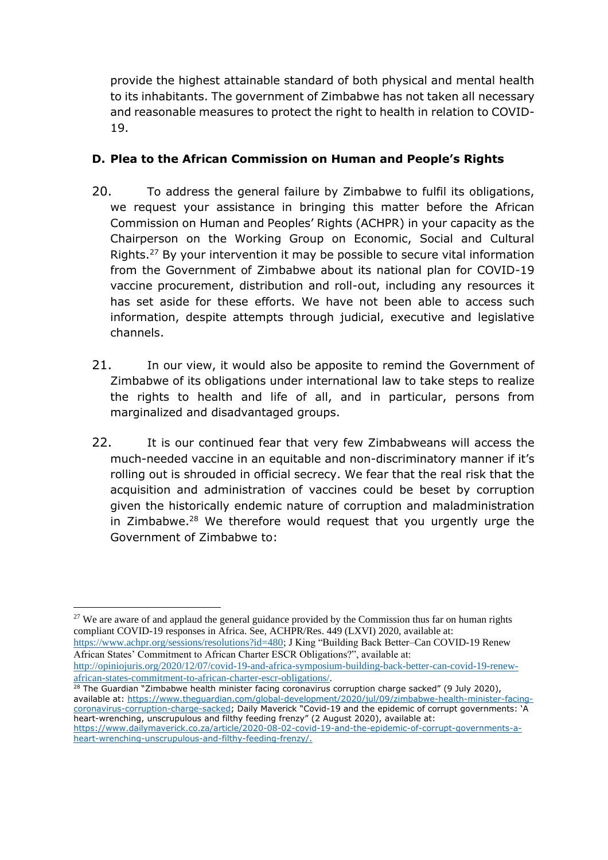provide the highest attainable standard of both physical and mental health to its inhabitants. The government of Zimbabwe has not taken all necessary and reasonable measures to protect the right to health in relation to COVID-19.

# **D. Plea to the African Commission on Human and People's Rights**

- 20. To address the general failure by Zimbabwe to fulfil its obligations, we request your assistance in bringing this matter before the African Commission on Human and Peoples' Rights (ACHPR) in your capacity as the Chairperson on the Working Group on Economic, Social and Cultural Rights.<sup>27</sup> By your intervention it may be possible to secure vital information from the Government of Zimbabwe about its national plan for COVID-19 vaccine procurement, distribution and roll-out, including any resources it has set aside for these efforts. We have not been able to access such information, despite attempts through judicial, executive and legislative channels.
- 21. In our view, it would also be apposite to remind the Government of Zimbabwe of its obligations under international law to take steps to realize the rights to health and life of all, and in particular, persons from marginalized and disadvantaged groups.
- 22. It is our continued fear that very few Zimbabweans will access the much-needed vaccine in an equitable and non-discriminatory manner if it's rolling out is shrouded in official secrecy. We fear that the real risk that the acquisition and administration of vaccines could be beset by corruption given the historically endemic nature of corruption and maladministration in Zimbabwe. $28$  We therefore would request that you urgently urge the Government of Zimbabwe to:

[https://www.achpr.org/sessions/resolutions?id=480;](https://www.achpr.org/sessions/resolutions?id=480) J King "Building Back Better–Can COVID-19 Renew African States' Commitment to African Charter ESCR Obligations?", available at:

[http://opiniojuris.org/2020/12/07/covid-19-and-africa-symposium-building-back-better-can-covid-19-renew](http://opiniojuris.org/2020/12/07/covid-19-and-africa-symposium-building-back-better-can-covid-19-renew-african-states-commitment-to-african-charter-escr-obligations/)[african-states-commitment-to-african-charter-escr-obligations/.](http://opiniojuris.org/2020/12/07/covid-19-and-africa-symposium-building-back-better-can-covid-19-renew-african-states-commitment-to-african-charter-escr-obligations/)

 $28$  The Guardian "Zimbabwe health minister facing coronavirus corruption charge sacked" (9 July 2020), available at: [https://www.theguardian.com/global-development/2020/jul/09/zimbabwe-health-minister-facing](https://www.theguardian.com/global-development/2020/jul/09/zimbabwe-health-minister-facing-coronavirus-corruption-charge-sacked)[coronavirus-corruption-charge-sacked](https://www.theguardian.com/global-development/2020/jul/09/zimbabwe-health-minister-facing-coronavirus-corruption-charge-sacked); Daily Maverick "Covid-19 and the epidemic of corrupt governments: 'A heart-wrenching, unscrupulous and filthy feeding frenzy" (2 August 2020), available at: [https://www.dailymaverick.co.za/article/2020-08-02-covid-19-and-the-epidemic-of-corrupt-governments-a](https://www.dailymaverick.co.za/article/2020-08-02-covid-19-and-the-epidemic-of-corrupt-governments-a-heart-wrenching-unscrupulous-and-filthy-feeding-frenzy/)[heart-wrenching-unscrupulous-and-filthy-feeding-frenzy/.](https://www.dailymaverick.co.za/article/2020-08-02-covid-19-and-the-epidemic-of-corrupt-governments-a-heart-wrenching-unscrupulous-and-filthy-feeding-frenzy/)

<sup>&</sup>lt;sup>27</sup> We are aware of and applaud the general guidance provided by the Commission thus far on human rights compliant COVID-19 responses in Africa. See, ACHPR/Res. 449 (LXVI) 2020, available at: